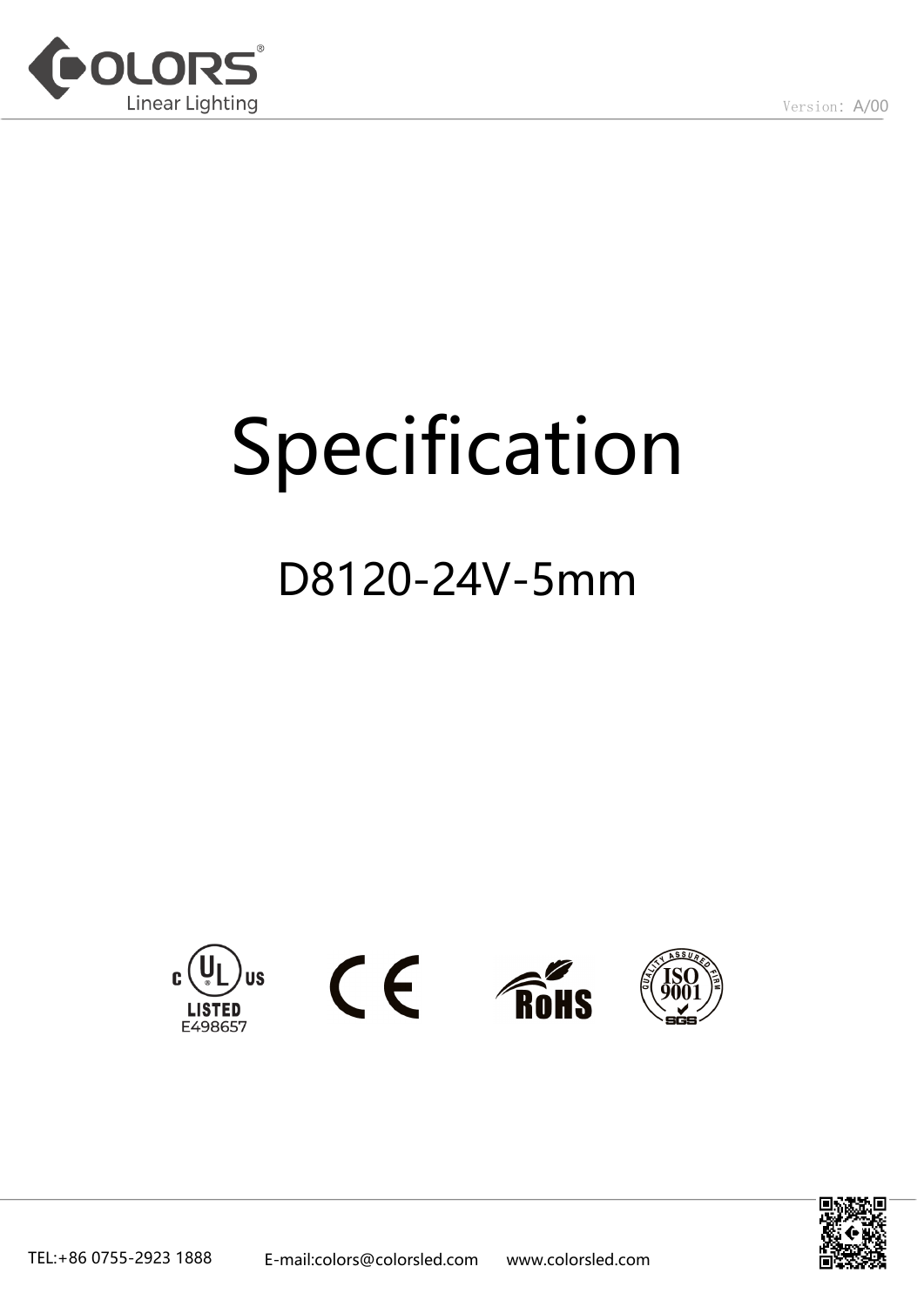

# Specification

# D8120-24V-5mm









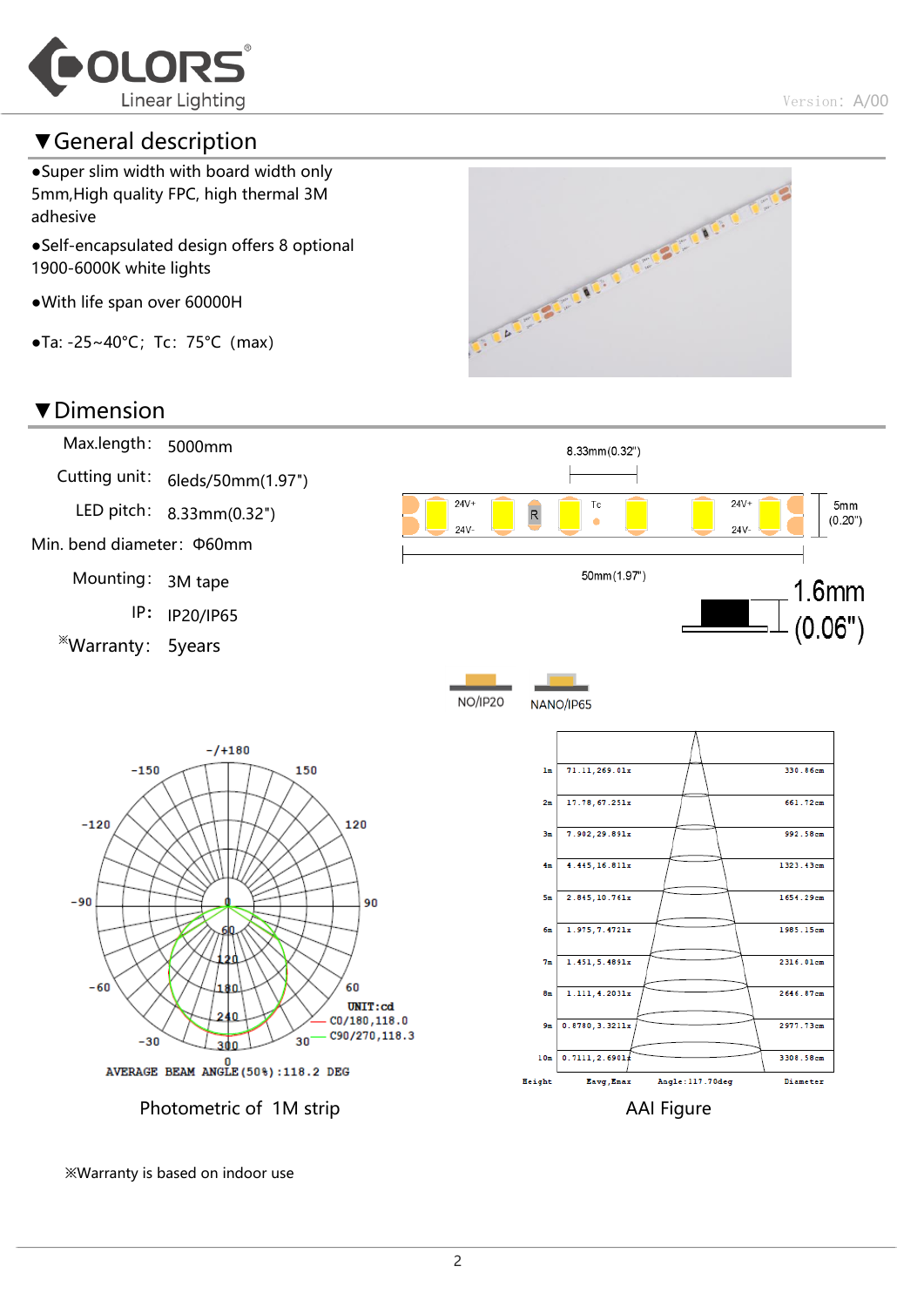

#### ▼General description

●Super slim width with board width only 5mm,High quality FPC, high thermal 3M adhesive

- ●Self-encapsulated design offers 8 optional 1900-6000K white lights
- ●With life span over 60000H
- ●Ta: -25~40°C;Tc:75°C(max)

#### ▼Dimension





※Warranty is based on indoor use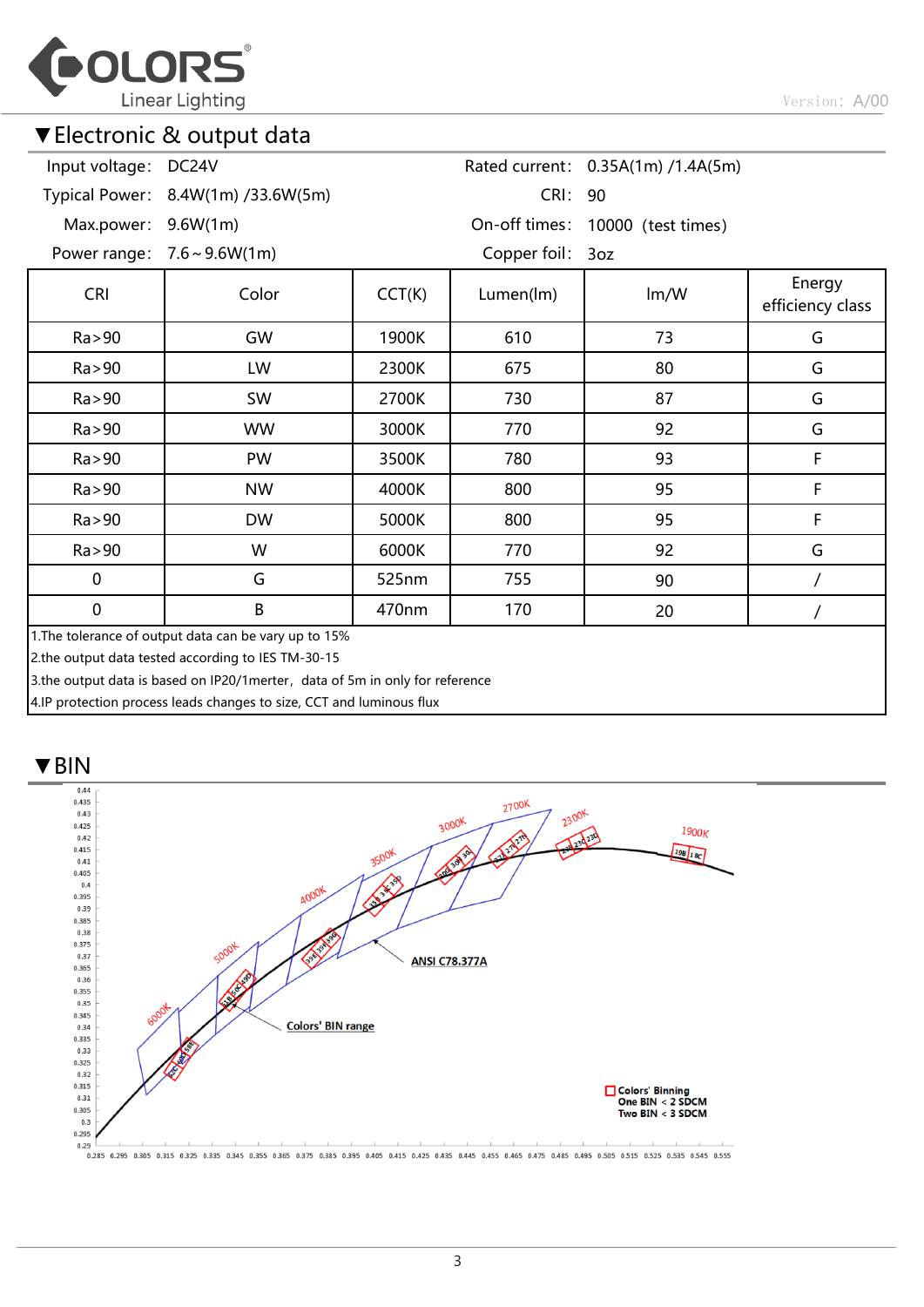

#### ▼Electronic & output data

| Input voltage: DC24V                                                                                        |                                    |        |                                  | Rated current: 0.35A(1m) /1.4A(5m) |                            |  |  |  |  |
|-------------------------------------------------------------------------------------------------------------|------------------------------------|--------|----------------------------------|------------------------------------|----------------------------|--|--|--|--|
|                                                                                                             | Typical Power: 8.4W(1m) /33.6W(5m) |        | CRI: 90                          |                                    |                            |  |  |  |  |
| Max.power: 9.6W(1m)                                                                                         |                                    |        | On-off times: 10000 (test times) |                                    |                            |  |  |  |  |
|                                                                                                             | Power range: $7.6 \sim 9.6W(1m)$   |        | Copper foil: 3oz                 |                                    |                            |  |  |  |  |
| <b>CRI</b>                                                                                                  | Color                              | CCT(K) | Lumen(lm)                        | Im/W                               | Energy<br>efficiency class |  |  |  |  |
| Ra > 90                                                                                                     | GW                                 | 1900K  | 610                              | 73                                 | G                          |  |  |  |  |
| Ra > 90                                                                                                     | LW                                 | 2300K  | 675                              | 80                                 | G                          |  |  |  |  |
| Ra > 90                                                                                                     | SW                                 | 2700K  | 730                              | 87                                 | G                          |  |  |  |  |
| Ra > 90                                                                                                     | <b>WW</b>                          | 3000K  | 770                              | 92                                 | G                          |  |  |  |  |
| Ra > 90                                                                                                     | PW                                 | 3500K  | 780                              | 93                                 | F                          |  |  |  |  |
| Ra > 90                                                                                                     | <b>NW</b>                          | 4000K  | 800                              | 95                                 | F                          |  |  |  |  |
| Ra > 90                                                                                                     | <b>DW</b>                          | 5000K  | 800                              | 95                                 | F                          |  |  |  |  |
| Ra > 90                                                                                                     | W                                  | 6000K  | 770                              | 92                                 | G                          |  |  |  |  |
| $\mathbf 0$                                                                                                 | G                                  | 525nm  | 755                              | 90                                 |                            |  |  |  |  |
| $\mathbf 0$                                                                                                 | B                                  | 470nm  | 170                              | 20                                 |                            |  |  |  |  |
| 1. The tolerance of output data can be vary up to 15%<br>2.the output data tested according to IES TM-30-15 |                                    |        |                                  |                                    |                            |  |  |  |  |

3.the output data is based on IP20/1merter, data of 5m in only for reference

4.IP protection process leads changes to size, CCT and luminous flux

#### ▼BIN



0.285 0.295 0.305 0.315 0.325 0.335 0.345 0.355 0.365 0.375 0.385 0.395 0.405 0.415 0.425 0.445 0.445 0.465 0.465 0.475 0.485 0.495 0.505 0.515 0.525 0.535 0.545 0.555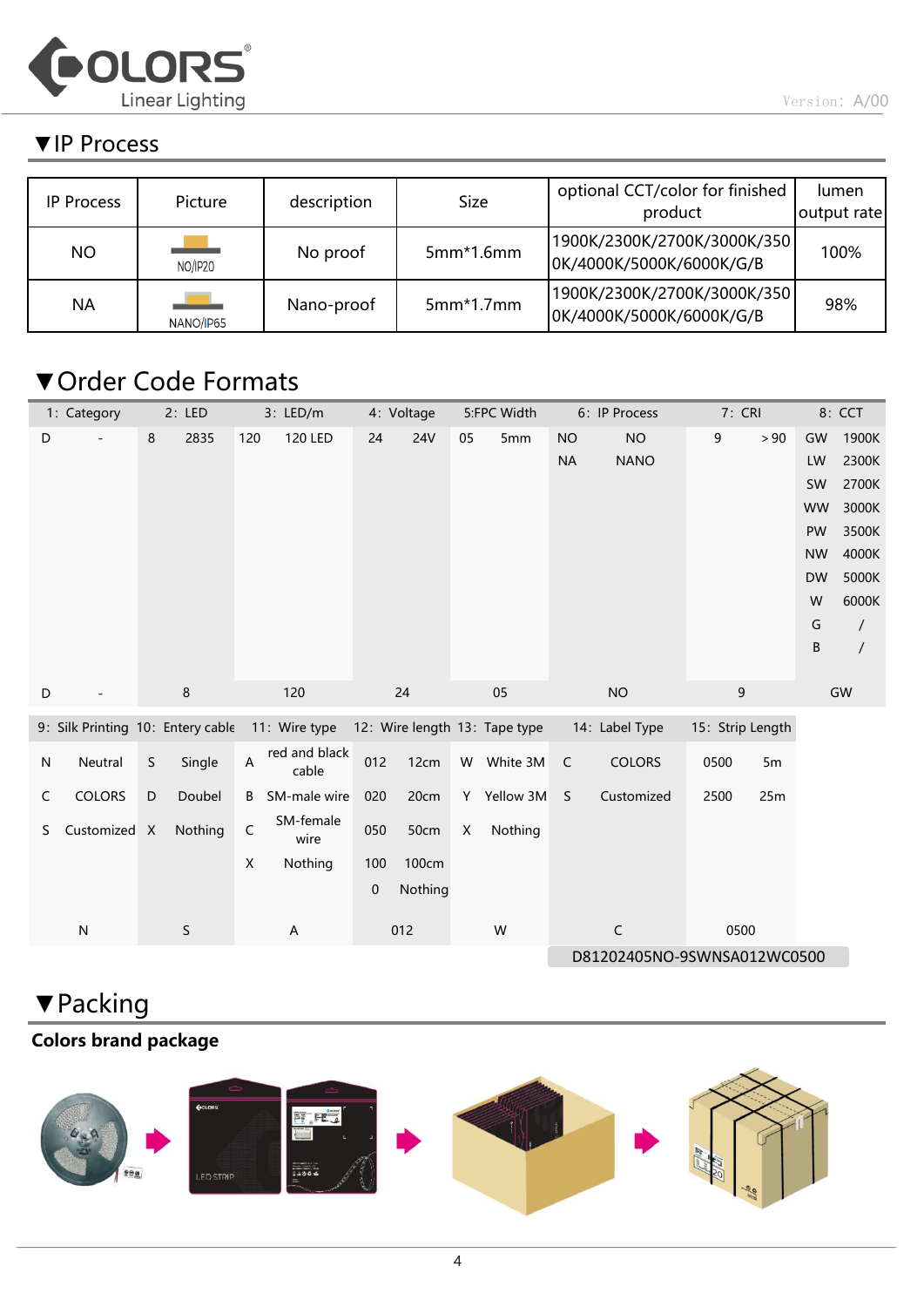

#### ▼IP Process

| <b>IP Process</b> | Picture   | description | Size        | optional CCT/color for finished<br>product              | lumen<br>output rate |
|-------------------|-----------|-------------|-------------|---------------------------------------------------------|----------------------|
| <b>NO</b>         | NO/IP20   | No proof    | $5mm*1.6mm$ | 1900K/2300K/2700K/3000K/350<br>OK/4000K/5000K/6000K/G/B | 100%                 |
| <b>NA</b>         | NANO/IP65 | Nano-proof  | $5mm*1.7mm$ | 1900K/2300K/2700K/3000K/350<br>OK/4000K/5000K/6000K/G/B | 98%                  |

### ▼Order Code Formats

|           | 1: Category<br>2: LED             |             |         | 3: LED/m<br>4: Voltage |                        |             | 5:FPC Width | 6: IP Process                 |             | 7: CRI         |                             | 8: CCT      |      |           |                            |
|-----------|-----------------------------------|-------------|---------|------------------------|------------------------|-------------|-------------|-------------------------------|-------------|----------------|-----------------------------|-------------|------|-----------|----------------------------|
| D         |                                   | 8           | 2835    | 120                    | 120 LED                | 24          | <b>24V</b>  | 05                            | 5mm         | <b>NO</b>      | <b>NO</b>                   | 9           | > 90 | GW        | 1900K                      |
|           |                                   |             |         |                        |                        |             |             |                               |             | <b>NA</b>      | <b>NANO</b>                 |             |      | LW        | 2300K                      |
|           |                                   |             |         |                        |                        |             |             |                               |             |                |                             |             |      | SW        | 2700K                      |
|           |                                   |             |         |                        |                        |             |             |                               |             |                |                             |             |      | <b>WW</b> | 3000K                      |
|           |                                   |             |         |                        |                        |             |             |                               |             |                |                             |             |      | PW        | 3500K                      |
|           |                                   |             |         |                        |                        |             |             |                               |             |                |                             |             |      | <b>NW</b> | 4000K                      |
|           |                                   |             |         |                        |                        |             |             |                               |             |                |                             |             |      | <b>DW</b> | 5000K                      |
|           |                                   |             |         |                        |                        |             |             |                               |             |                |                             |             |      | W<br>G    | 6000K                      |
|           |                                   |             |         |                        |                        |             |             |                               |             |                |                             |             |      | B         | $\prime$<br>$\overline{1}$ |
|           |                                   |             |         |                        |                        |             |             |                               |             |                |                             |             |      |           |                            |
| D         |                                   |             | 8       |                        | 120                    |             | 24          |                               | 05          |                | <b>NO</b>                   | $\mathsf g$ |      |           | GW                         |
|           | 9: Silk Printing 10: Entery cable |             |         | 11: Wire type          |                        |             |             | 12: Wire length 13: Tape type |             | 14: Label Type | 15: Strip Length            |             |      |           |                            |
| ${\sf N}$ | Neutral                           | $\mathsf S$ | Single  | A                      | red and black<br>cable | 012         | 12cm        |                               | W White 3M  | $\mathsf C$    | <b>COLORS</b>               | 0500        | 5m   |           |                            |
| C         | <b>COLORS</b>                     | $\mathsf D$ | Doubel  | B                      | SM-male wire           | 020         | 20cm        |                               | Y Yellow 3M | S              | Customized                  | 2500        | 25m  |           |                            |
| S         | Customized X                      |             | Nothing | $\mathsf C$            | SM-female<br>wire      | 050         | 50cm        | X                             | Nothing     |                |                             |             |      |           |                            |
|           |                                   |             |         | X                      | Nothing                | 100         | 100cm       |                               |             |                |                             |             |      |           |                            |
|           |                                   |             |         |                        |                        | $\mathbf 0$ | Nothing     |                               |             |                |                             |             |      |           |                            |
|           |                                   |             |         |                        |                        |             |             |                               |             |                |                             |             |      |           |                            |
|           | ${\sf N}$                         |             | S       |                        | A                      |             | 012         |                               | W           |                | C                           | 0500        |      |           |                            |
|           |                                   |             |         |                        |                        |             |             |                               |             |                | D81202405NO-9SWNSA012WC0500 |             |      |           |                            |

## ▼Packing

#### Colors brand package